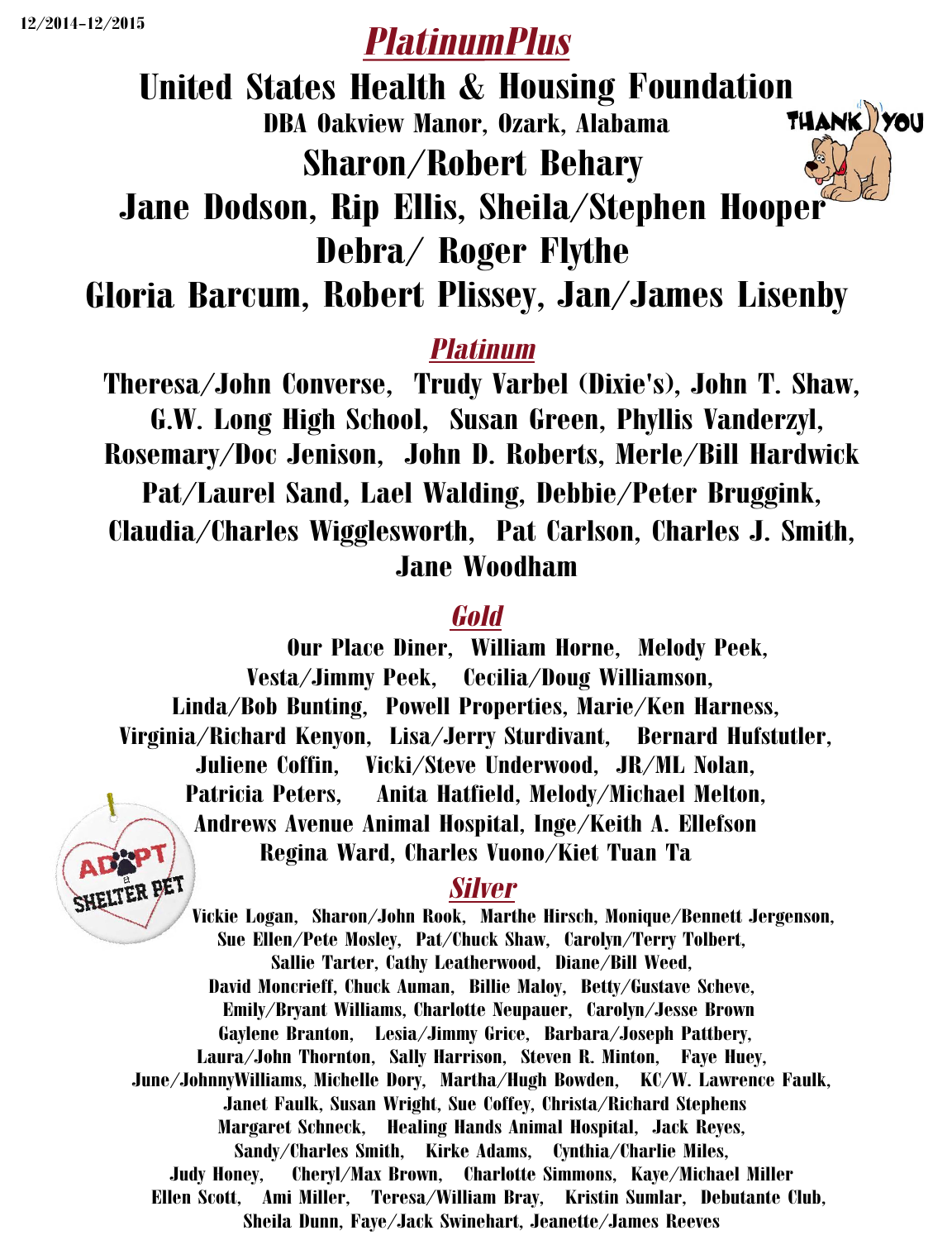# *PlatinumPlus*

United States Health & Housing Foundation<br>DBA Oakview Manor. Ozark. Alabama THANK YOU DBA Oakview Manor, Ozark, Alabama Sharon/Robert Behary Jane Dodson, Rip Ellis, Sheila/Stephen Hooper



Gloria Barcum, Robert Plissey, Jan/James Lisenby

### *Platinum*

Theresa/John Converse, Trudy Varbel (Dixie's), John T. Shaw, G.W. Long High School, Susan Green, Phyllis Vanderzyl, Rosemary/Doc Jenison, John D. Roberts, Merle/Bill Hardwick Pat/Laurel Sand, Lael Walding, Debbie/Peter Bruggink, Claudia/Charles Wigglesworth, Pat Carlson, Charles J. Smith, Jane Woodham

#### *Gold*

Our Place Diner, William Horne, Melody Peek, Vesta/Jimmy Peek, Cecilia/Doug Williamson, Linda/Bob Bunting, Powell Properties, Marie/Ken Harness, Virginia/Richard Kenyon, Lisa/Jerry Sturdivant, Bernard Hufstutler, Juliene Coffin, Vicki/Steve Underwood, JR/ML Nolan, Patricia Peters, Anita Hatfield, Melody/Michael Melton, Andrews Avenue Animal Hospital, Inge/Keith A. Ellefson Regina Ward, Charles Vuono/Kiet Tuan Ta



#### *Silver*

Vickie Logan, Sharon/John Rook, Marthe Hirsch, Monique/Bennett Jergenson, Sue Ellen/Pete Mosley, Pat/Chuck Shaw, Carolyn/Terry Tolbert, Sallie Tarter, Cathy Leatherwood, Diane/Bill Weed, David Moncrieff, Chuck Auman, Billie Maloy, Betty/Gustave Scheve, Emily/Bryant Williams, Charlotte Neupauer, Carolyn/Jesse Brown Gaylene Branton, Lesia/Jimmy Grice, Barbara/Joseph Pattbery, Laura/John Thornton, Sally Harrison, Steven R. Minton, Faye Huey, June/JohnnyWilliams, Michelle Dory, Martha/Hugh Bowden, KC/W. Lawrence Faulk, Janet Faulk, Susan Wright, Sue Coffey, Christa/Richard Stephens Margaret Schneck, Healing Hands Animal Hospital, Jack Reyes, Sandy/Charles Smith, Kirke Adams, Cynthia/Charlie Miles, Judy Honey, Cheryl/Max Brown, Charlotte Simmons, Kaye/Michael Miller Ellen Scott, Ami Miller, Teresa/William Bray, Kristin Sumlar, Debutante Club, Sheila Dunn, Faye/Jack Swinehart, Jeanette/James Reeves